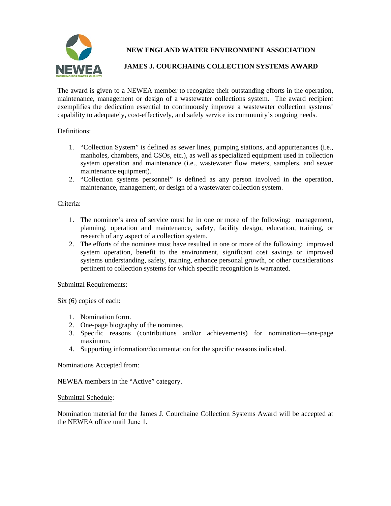

**NEW ENGLAND WATER ENVIRONMENT ASSOCIATION** 

# **JAMES J. COURCHAINE COLLECTION SYSTEMS AWARD**

The award is given to a NEWEA member to recognize their outstanding efforts in the operation, maintenance, management or design of a wastewater collections system. The award recipient exemplifies the dedication essential to continuously improve a wastewater collection systems' capability to adequately, cost-effectively, and safely service its community's ongoing needs.

## Definitions:

- 1. "Collection System" is defined as sewer lines, pumping stations, and appurtenances (i.e., manholes, chambers, and CSOs, etc.), as well as specialized equipment used in collection system operation and maintenance (i.e., wastewater flow meters, samplers, and sewer maintenance equipment).
- 2. "Collection systems personnel" is defined as any person involved in the operation, maintenance, management, or design of a wastewater collection system.

## Criteria:

- 1. The nominee's area of service must be in one or more of the following: management, planning, operation and maintenance, safety, facility design, education, training, or research of any aspect of a collection system.
- 2. The efforts of the nominee must have resulted in one or more of the following: improved system operation, benefit to the environment, significant cost savings or improved systems understanding, safety, training, enhance personal growth, or other considerations pertinent to collection systems for which specific recognition is warranted.

#### Submittal Requirements:

Six (6) copies of each:

- 1. Nomination form.
- 2. One-page biography of the nominee.
- 3. Specific reasons (contributions and/or achievements) for nomination—one-page maximum.
- 4. Supporting information/documentation for the specific reasons indicated.

## Nominations Accepted from:

NEWEA members in the "Active" category.

#### Submittal Schedule:

Nomination material for the James J. Courchaine Collection Systems Award will be accepted at the NEWEA office until June 1.